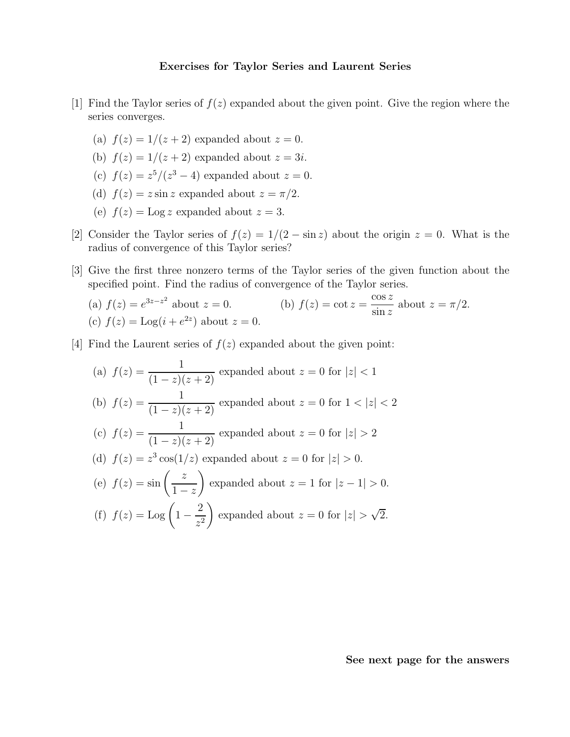## Exercises for Taylor Series and Laurent Series

- [1] Find the Taylor series of  $f(z)$  expanded about the given point. Give the region where the series converges.
	- (a)  $f(z) = 1/(z+2)$  expanded about  $z = 0$ .
	- (b)  $f(z) = 1/(z+2)$  expanded about  $z = 3i$ .
	- (c)  $f(z) = z^5/(z^3 4)$  expanded about  $z = 0$ .
	- (d)  $f(z) = z \sin z$  expanded about  $z = \pi/2$ .
	- (e)  $f(z) = \text{Log } z$  expanded about  $z = 3$ .
- [2] Consider the Taylor series of  $f(z) = 1/(2 \sin z)$  about the origin  $z = 0$ . What is the radius of convergence of this Taylor series?
- [3] Give the first three nonzero terms of the Taylor series of the given function about the specified point. Find the radius of convergence of the Taylor series.

(a) 
$$
f(z) = e^{3z - z^2}
$$
 about  $z = 0$ .  
\n(b)  $f(z) = \cot z = \frac{\cos z}{\sin z}$  about  $z = \pi/2$ .  
\n(c)  $f(z) = \text{Log}(i + e^{2z})$  about  $z = 0$ .

[4] Find the Laurent series of  $f(z)$  expanded about the given point:

(a) 
$$
f(z) = \frac{1}{(1-z)(z+2)}
$$
 expanded about  $z = 0$  for  $|z| < 1$ \n(b)  $f(z) = \frac{1}{(1-z)(z+2)}$  expanded about  $z = 0$  for  $1 < |z| < 2$ \n(c)  $f(z) = \frac{1}{(1-z)(z+2)}$  expanded about  $z = 0$  for  $|z| > 2$ \n(d)  $f(z) = z^3 \cos(1/z)$  expanded about  $z = 0$  for  $|z| > 0$ .\n(e)  $f(z) = \sin\left(\frac{z}{1-z}\right)$  expanded about  $z = 1$  for  $|z - 1| > 0$ .\n(f)  $f(z) = \text{Log}\left(1 - \frac{2}{z^2}\right)$  expanded about  $z = 0$  for  $|z| > \sqrt{2}$ .

See next page for the answers